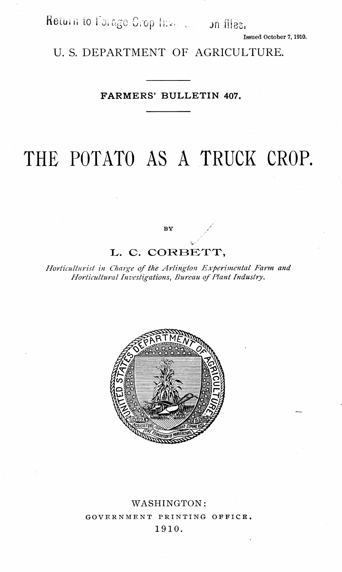Return to Forago Crop Inv. ... in thes.

Issued October 7,1910.

U. S. DEPARTMENT OF AGRICULTURE.

# **FARMERS' BULLETIN 407.**

# **THE POTATO AS A TRUCK CROP.**

**BY** 

# **Iv. C. CORBETTT,**

*Horticulturist in Charge of the Arlington Experimental Farm and Horticultural Investigations, Bureau of Plant Industry.*



# **WASHINGTON:** GOVERNMENT PRINTING OFFICE, **1910.**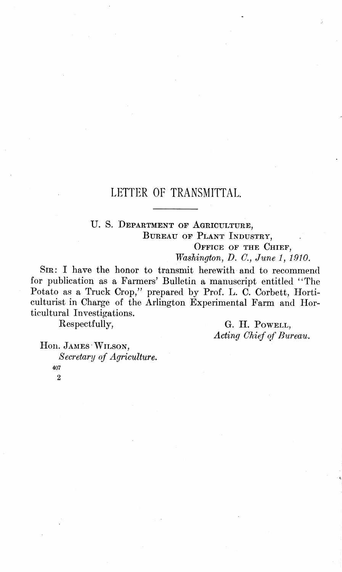# LETTER OF TRANSMITTAL.

U. S. DEPARTMENT OF AGRICULTURE,

BUREAU OF PLANT INDUSTRY,

OFFICE OF THE CHIEF, *Washington, D. C, June Î, 1910.*

SIR: I have the honor to transmit herewith and to recommend for publication as a Farmers' Bulletin a manuscript entitled "The Potato as a Truck Crop/' prepared by Prof. L. C. Corbett, Horticulturist in Charge of the Arlington Experimental Farm and Horticultural Investigations.

Respectfully, G. H. POWELL, *Acting Chief of Bureau.*

Hon. JAMES WILSON, *Secretary of Agriculture.* 407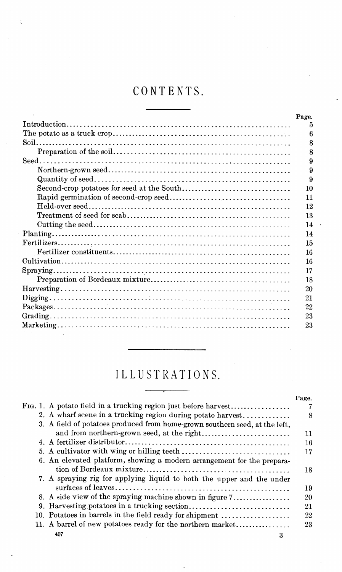# CONTENTS.

|                                            | Page. |
|--------------------------------------------|-------|
|                                            | 5     |
|                                            | h     |
|                                            | я     |
|                                            |       |
|                                            |       |
|                                            | 9     |
|                                            | 9     |
| Second-crop potatoes for seed at the South | 10    |
|                                            | 11    |
|                                            | 12    |
|                                            | 13    |
|                                            | 14    |
|                                            | 14    |
|                                            | 15    |
|                                            | 16    |
|                                            | 16    |
|                                            | 17    |
|                                            | 18    |
|                                            | 20    |
|                                            | 21    |
|                                            | 22    |
|                                            | 23    |
|                                            | 23    |
|                                            |       |

# LLUSTRATIONS.

|                                                                             | Page. |
|-----------------------------------------------------------------------------|-------|
| FIG. 1. A potato field in a trucking region just before harvest             | 7     |
| 2. A wharf scene in a trucking region during potato harvest                 | 8     |
| 3. A field of potatoes produced from home-grown southern seed, at the left, |       |
| and from northern-grown seed, at the right                                  | 11    |
|                                                                             | 16    |
|                                                                             | 17    |
| 6. An elevated platform, showing a modern arrangement for the prepara-      |       |
|                                                                             | 18    |
| 7. A spraying rig for applying liquid to both the upper and the under       |       |
|                                                                             | 19    |
| 8. A side view of the spraying machine shown in figure 7                    | 20    |
|                                                                             | 21    |
| 10. Potatoes in barrels in the field ready for shipment                     | 22    |
| 11. A barrel of new potatoes ready for the northern market                  | 23    |
| 407<br>3                                                                    |       |
|                                                                             |       |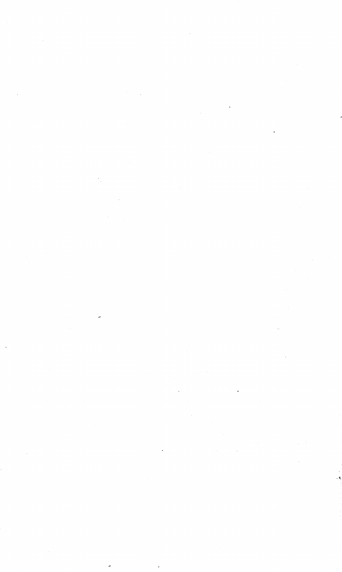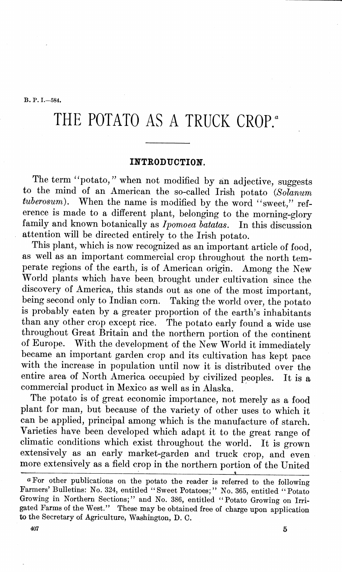B. P. I.-584.

# THE POTATO AS A TRUCK CROP.<sup>®</sup>

#### **INTRODUCTION.**

The term "potato," when not modified by an adjective, suggests to the mind of an American the so-called Irish potato *(Solanum tuberosum*). When the name is modified by the word "sweet," reference is made to a different plant, belonging to the morning-glory family and known botanically as *Ipomoea batatas.* In this discussion attention will be directed entirely to the Irish potato.

This plant, which is now recognized as an important article of food, as well as an important commercial crop throughout the north temperate regions of the earth, is of American origin. Among the New World plants which have been brought under cultivation since the discovery of America, this stands out as one of the most important, being second only to Indian corn. Taking the world over, the potato is probably eaten by a greater proportion of the earth's inhabitants than any other crop except rice. The potato early found a wide use throughout Great Britain and the northern portion of the continent of Europe. With the development of the New World it immediately became an important garden crop and its cultivation has kept pace with the increase in population until now it is distributed over the entire area of North America occupied by civilized peoples. It is a commercial product in Mexico as well as in Alaska.

The potato is of great economic importance, not merely as a food plant for man, but because of the variety of other uses to which it can be applied, principal among which is the manufacture of starch. Varieties have been developed which adapt it to the great range of climatic conditions which exist throughout the world. It is grown extensively as an early market-garden and truck crop, and even more extensively as a field crop in the northern portion of the United **<sup>i</sup> —— \_s**

**\***

a For other publications on the potato the reader is referred to the following Farmers' Bulletins: No. 324, entitled "Sweet Potatoes;" No. 365, entitled "Potato Growing in Northern Sections;" and No. 386, entitled "Potato Growing on Irrigated Farms of the West." These may be obtained free of charge upon application to the Secretary of Agriculture, Washington, D. 0.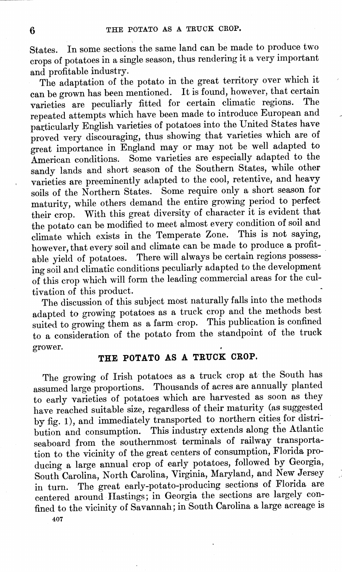States. In some sections the same land can be made to produce two crops of potatoes in a single season, thus rendering it a very important and profitable industry.

The adaptation of the potato in the great territory over which it can be grown has been mentioned. It is found, however, that certain varieties are peculiarly fitted for certain climatic regions. repeated attempts which have been made to introduce European and particularly English varieties of potatoes into the United States have proved very discouraging, thus showing that varieties which are of great importance in England may or may not be well adapted to American conditions. Some varieties are especially adapted to the sandy lands and short season of the Southern States, while other varieties are preeminently adapted to the cool, retentive, and heavy soils of the Northern States. Some require only a short season for maturity, while others demand the entire growing period to perfect their crop. With this great diversity of character it is evident that the potato can be modified to meet almost every condition of soil and climate which exists in the Temperate Zone. This is not saying, however, that every soil and climate can be made to produce a profitable yield of potatoes. There will always be certain regions possessing soil and climatic conditions peculiarly adapted to the development of this crop which will form the leading commercial areas for the cultivation of this product.

The discussion of this subject most naturally falls into the methods adapted to growing potatoes as a truck crop and the methods best suited to growing them as a farm crop. This publication is confined to a consideration of the potato from the standpoint of the truck grower.

# **THE POTATO AS A TRUCK CROP.**

The growing of Irish potatoes as a truck crop at the South has assumed large proportions. Thousands of acres are annually planted to early varieties of potatoes which are harvested as soon as they have reached suitable size, regardless of their maturity (as suggested by fig. 1), and immediately transported to northern cities for distribution and consumption. This industry extends along the Atlantic seaboard from the southernmost terminals of railway transportation to the vicinity of the great centers of consumption, Florida producing a large annual crop of early potatoes, followed by Georgia, South Carolina, North Carolina, Virginia, Maryland, and New Jersey in turn. The great early-potato-producing sections of Florida are centered around Hastings; in Georgia the sections are largely confined to the vicinity of Savannah; in South Carolina a large acreage is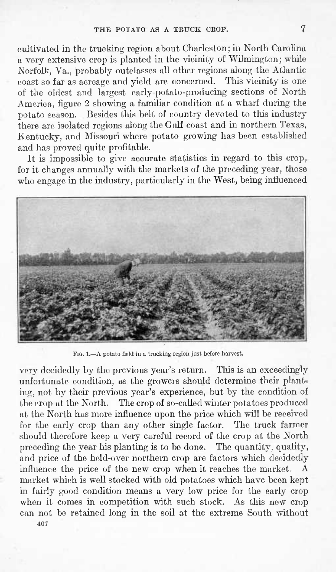cultivated in the trucking region about Charleston ; in North Carolina a very extensive crop is planted in the vicinity of Wilmington ; while Norfolk, Va., probably outclasses all other regions along the Atlantic coast so far as acreage and yield are concerned. This vicinity is one of the oldest and largest early-potato-producing sections of North America, figure <sup>2</sup> showing a familiar condition at a wharf during the potato season. Besides this belt of country devoted to this industry there are isolated regions along the Gulf coast and in northern Texas, Kentucky, and Missouri where potato growing has been established and has proved quite profitable.

It is impossible to give accurate statistics in regard to this crop, for it changes annually with the markets of the preceding year, those who engage in the industry, particularly in the West, being influenced



FIG. 1.—A potato field in a trucking region just before harvest.

very decidedly by the previous year's return. This is an exceedingly unfortunate condition, as the growers should determine their planting, not by their previous year's experience, but by the condition of the crop at the North. The crop of so-called winter potatoes produced at the North has more influence upon the price which will be received for the early crop than any other single factor. The truck farmer should therefore keep a very careful record of the crop at the North preceding the year his planting is to be done. The quantity, quality, and price of the held-over northern crop are factors which decidedly influence the price of the new crop when it reaches the market. A market which is well stocked with old potatoes which have been kept in fairly good condition means a very low price for the early crop when it comes in competition with such stock. As this new crop can not be retained long in the soil at the extreme South without 407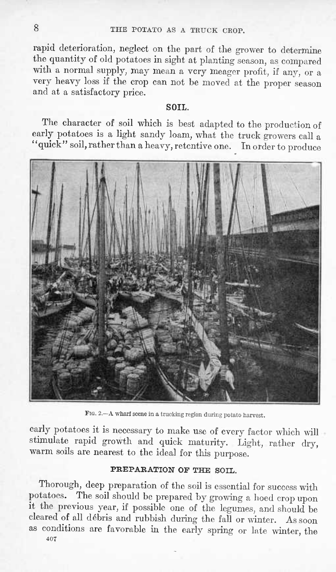rapid deterioration, neglect on the part of the grower to determine the quantity of old potatoes in sight at planting season, as compared with a normal supply, may mean a very meager profit, if any, or a very heavy loss if the crop can not be moved at the proper season and at a satisfactory price.

# SOIL.

The character of soil which is best adapted to the production of early potatoes is a light sandy loam, what the truck growers call a "quick" soil, rather than a heavy, retentive one. In order to produce



FIG. 2.—A wharf scene in a trucking region during potato harvest.

early potatoes it is necessary to make use of every factor which will stimulate rapid growth and quick maturity. Light, rather dry, warm soils are nearest to the ideal for this purpose.

# PREPARATION OF THE SOIL.

Thorough, deep preparation of the soil is essential for success with potatoes. The soil should be prepared by growing a hoed crop upon it the previous year, if possible one of the legumes, and should be cleared of all débris and rubbish during the fall or winter. As soon as conditions are favorable in the early spring or late winter, the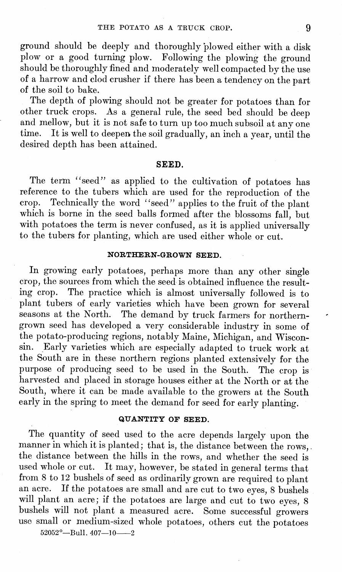ground should be deeply and thoroughly plowed either with a disk plow or a good turning plow. Following the plowing the ground should be thoroughly fined and moderately well compacted by the use of a harrow and clod crusher if there has been a tendency on the part of the soil to bake.

The depth of plowing should not be greater for potatoes than for other truck crops. As a general rule, the seed bed should be deep and mellow, but it is not safe to turn up too much subsoil at any one time. It is well to deepen the soil gradually an inch a vear, until the It is well to deepen the soil gradually, an inch a year, until the desired depth has been attained.

#### SEED.

The term "seed" as applied to the cultivation of potatoes has reference to the tubers which are used for the reproduction of the crop. Technically the word "seed" applies to the fruit of the plant Technically the word "seed" applies to the fruit of the plant which is borne in the seed balls formed after the blossoms fall, but with potatoes the term is never confused, as it is applied universally to the tubers for planting, which are used either whole or cut.

## **NORTHERN-GBOWN SEED.**

In growing early potatoes, perhaps more than any other single crop, the sources from which the seed is obtained influence the resulting crop. The practice which is almost universally followed is to plant tubers of early varieties which have been grown for several seasons at the North. The demand by truck farmers for northerngrown seed has developed a very considerable industry in some of the potato-producing regions, notably Maine, Michigan, and Wisconsin. Early varieties which are especially adapted to truck work at the South are in these northern regions planted extensively for the purpose of producing seed to be used in the South. The crop is harvested and placed in storage houses either at the North or at the South, where it can be made available to the growers at the South early in the spring to meet the demand for seed for early planting.

#### **QUANTITY OF SEED.**

The quantity of seed used to the acre depends largely upon the manner in which it is planted; that is, the distance between the rows. the distance between the hills in the rows, and whether the seed is used whole or cut. It may, however, be stated in general terms that from 8 to 12 bushels of seed as ordinarily grown are required to plant an acre. If the potatoes are small and are cut to two eyes, 8 bushels will plant an acre; if the potatoes are large and cut to two eyes, 8 bushels will not plant a measured acre. Some successful growers use small or medium-sized whole potatoes, others cut the potatoes

 $52052^\circ$ -Bull.  $407-10$ -2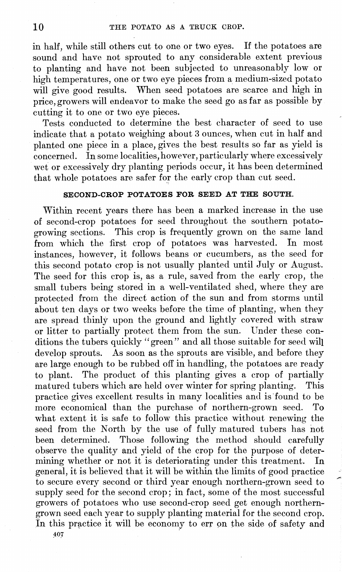in half, while still others cut to one or two eyes. If the potatoes are sound and have not sprouted to any considerable extent previous to planting and have not been subjected to unreasonably low or high temperatures, one or two eye pieces from a medium-sized potato will give good results. When seed potatoes are scarce and high in price, growers will endeavor to make the seed go as far as possible by cutting it to one or two eye pieces.

Tests conducted to determine the best character of seed to use indicate that a potato weighing about 3 ounces, when cut in half and planted one piece in a place, gives the best results so far as yield is concerned. In some localities, however, particularly where excessively wet or excessively dry planting periods occur, it has been determined that whole potatoes are safer for the early crop than cut seed.

# **SECOND-CROP POTATOES FOR SEED AT THE SOUTH.**

Within recent years there has been a marked increase in the use of second-crop potatoes for seed throughout the southern potatogrowing sections. This crop is frequently grown on the same land from which the first crop of potatoes was harvested. In most instances, however, it follows beans or cucumbers, as the seed for this second potato crop is not usually planted until July or August. The seed for this crop is, as a rule, saved from the early crop, the small tubers being stored in a well-ventilated shed, where they are protected from the direct action of the sun and from storms until about ten days or two weeks before the time of planting, when they are spread thinly upon the ground and lightly covered with straw or litter to partially protect them from the sun. Under these conditions the tubers quickly "green" and all those suitable for seed will develop sprouts. As soon as the sprouts are visible, and before they are large enough to be rubbed off in handling, the potatoes are ready to plant. The product of this planting gives a crop of partially matured tubers which are held over winter for spring planting. This practice gives excellent results in many localities and is found to be more economical than the purchase of northern-grown seed. what extent it is safe to follow this practice without renewing the seed from the North by the use of fully matured tubers has not been determined. Those following the method should carefully observe the quality and yield of the crop for the purpose of determining whether or not it is deteriorating under this treatment. In general, it is believed that it will be within the limits of good practice to secure every second or third year enough northern-grown seed to supply seed for the second crop; in fact, some of the most successful growers of potatoes who use second-crop seed get enough northerngrown seed each year to supply planting material for the second crop. In this practice it will be economy to err on the side of safety and 407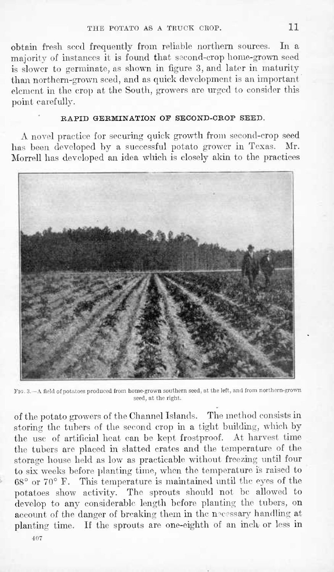obtain fresh seed frequently from reliable northern sources. In a majority of instances it is found that second-crop home-grown seed is slower to germinate, as shown in figure 3, and later in maturity than northern-grown seed, and as quick development is an important element in the crop at the South, growers are urged to consider this point carefully.

### **RAPID GERMINATION OF SECOND-CROP SEED.**

A novel practice for securing quick growth from second-crop seed has been developed by a successful potato grower in Texas. Mr. Morrell has developed an idea which is closely akin to the practices



FIG. 3.—A field of potatoes produced from home-grown southern seed, at the left, and from northern-grown seed, at the right.

of the potato growers of the Channel Islands. The method consists in storing the tubers of the second crop in a tight building, which by the use of artificial heat can be kept frostproof. At harvest time the tubers are placed in slatted crates and the temperature of the storage house held as low as practicable without freezing until four to six weeks before planting time, when the temperature is raised to 68° or 70° F. This temperature is maintained until the eyes of the potatoes show activity. The sprouts should not be allowed to develop to any considerable length before planting the tubers, on account of the danger of breaking them in the necessary handling at planting time. If the sprouts are one-eighth of an inch or less in407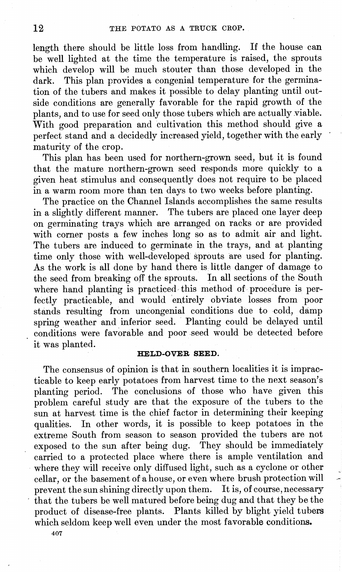length there should be little loss from handling. If the house can be well lighted at the time the temperature is raised, the sprouts which develop will be much stouter than those developed in the dark. This plan provides a congenial temperature for the germination of the tubers and makes it possible to delay planting until outside conditions are generally favorable for the rapid growth of the plants, and to use for seed only those tubers which are actually viable. With good preparation and cultivation this method should give a perfect stand and a decidedly increased yield, together with the early maturity of the crop.

This plan has been used for northern-grown seed, but it is found that the mature northern-grown seed responds more quickly to a given heat stimulus and consequently does not require to be placed in a warm room more than ten days to two weeks before planting.

The practice on the Channel Islands accomplishes the same results in a slightly different manner. The tubers are placed one layer deep on germinating trays which are arranged on racks or are provided with corner posts a few inches long so as to admit air and light. The tubers are induced to germinate in the trays, and at planting time only those with well-developed sprouts are used for planting. As the work is all done by hand there is little danger of damage to the seed from breaking off the sprouts. In all sections of the South where hand planting is practiced this method of procedure is perfectly practicable, and would entirely obviate losses from poor stands resulting from uncongenial conditions due to cold, damp spring weather and inferior seed. Planting could be delayed until conditions were favorable and poor seed would be detected before it was planted.

#### **HELD-OVER SEED.**

The consensus of opinion is that in southern localities it is impracticable to keep early potatoes from harvest time to the next season's planting period. The conclusions of those who have given this problem careful study are that the exposure of the tubers to the sun at harvest time is the chief factor in determining their keeping qualities. In other words, it is possible to keep potatoes in the extreme South from season to season provided the tubers are not exposed to the sun after being dug. They should be immediately carried to a protected place where there is ample ventilation and where they will receive only diffused light, such as a cyclone or other cellar, or the basement of a house, or even where brush protection will prevent the sun shining directly upon them. It is, of course, necessary that the tubers be well matured before being dug and that they be the product of disease-free plants. Plants killed by blight yield tubers which seldom keep well even under the most favorable conditions.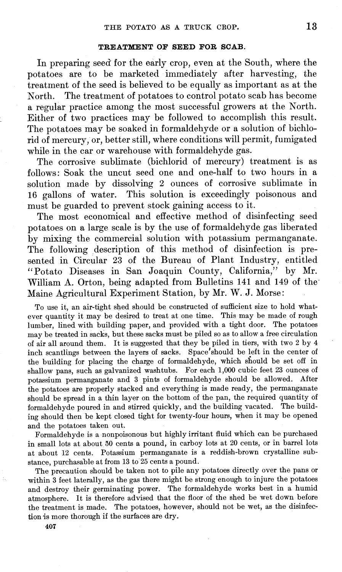# **TREATMENT OF SEED FOR SCAB.**

In preparing seed for the early crop, even at the South, where the potatoes are to be marketed immediately after harvesting, the treatment of the seed is believed to be equally as important as at the North. The treatment of potatoes to control potato scab has become a regular practice among the most successful growers at the North. Either of two practices may be followed to accomplish this result. The potatoes may be soaked in formaldehyde or a solution of bichlorid of mercury, or, better still, where conditions will permit, fumigated while in the car or warehouse with formaldehyde gas.

The corrosive sublimate (bichlorid of mercury) treatment is as follows: Soak the uncut seed one and one-half to two hours in a solution made by dissolving 2 ounces of corrosive sublimate in 16 gallons of water. This solution is exceedingly poisonous and must be guarded to prevent stock gaining access to it.

The most economical and effective method of disinfecting seed potatoes on a large scale is by the use of formaldehyde gas liberated by mixing the commercial solution with potassium permanganate. The following description of this method of disinfection is presented in Circular 23 of the Bureau of Plant Industry, entitled " Potato Diseases in San Joaquin County, California," by Mr. William A. Orton, being adapted from Bulletins 141 and 149 of the' Maine Agricultural Experiment Station, by Mr. W. J. Morse:

To use it, an air-tight shed should be constructed of sufficient size to hold whatever quantity it may be desired to treat at one time. This may be made of rough lumber, lined with building paper, and provided with a tight door. The potatoes may be treated in sacks, but these sacks must be piled so as to allow a free circulation of air all around them. It is suggested that they be piled in tiers, with two <sup>2</sup> by 4 inch scantlings between the layers of sacks. Space\*should be left in the center of the building for placing the charge of formaldehyde, which should be set off in shallow pans, such as galvanized washtubs. For each 1,000 cubic feet 23 ounces of potassium permanganate and 3 pints of formaldehyde should be allowed. After the potatoes are properly stacked and everything is made ready, the permanganate should be spread in a thin layer on the bottom of the pan, the required quantity of formaldehyde poured in and stirred quickly, and the building vacated. The building should then be kept closed tight for twenty-four hours, when it may be opened and the potatoes taken out.

Formaldehyde is a nonpoisonous but highly irritant fluid which can be purchased in small lots at about 50 cents a pound, in carboy lots at 20 cents, or in barrel lots at about 12 cents. Potassium permanganate is a reddish-brown crystalline substance, purchasable at from 13 to 25 cents a pound.

The precaution should be taken not to pile any potatoes directly over the pans or within 3 feet laterally, as the gas there might be strong enough to injure the potatoes and destroy their germinating power. The formaldehyde works best in a humid atmosphere. It is therefore advised that the floor of the shed be wet down before the treatment is made. The potatoes, however, should not be wet, as the disinfection is more thorough if the surfaces are dry.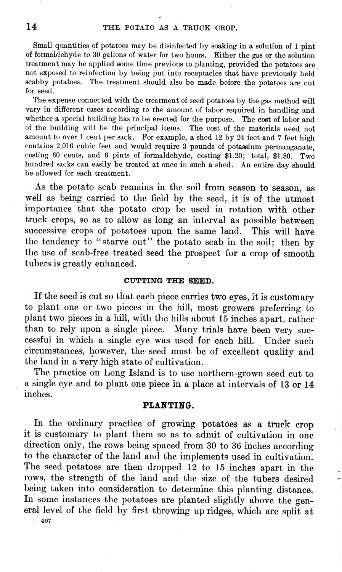Small quantities of potatoes may be disinfected by soaking in a solution of <sup>1</sup> pint of formaldehyde to 30 gallons of water for two hours. Either the gas or the solution treatment may be applied some time previous to planting, provided the potatoes are not exposed to reinfection by being put into receptacles that have previously held scabby potatoes. The treatment should also be made before the potatoes are cut for seed.

The expense connected with the treatment of seed potatoes by the gas method will vary in different cases according to the amount of labor required in handling and whether a special building has to be erected for the purpose. The cost of labor and of the building will be the principal items. The cost of the materials need not amount to over 1 cent per sack. For example, a shed 12 by 24 feet and 7 feet high contains 2,016 cubic feet and would require 3 pounds of potassium permanganate, costing 60 cents, and 6 pints of formaldehyde, costing \$1.20; total, \$1.80. Two hundred sacks can easily be treated at once in such a shed. An entire day should be allowed for each treatment.

As the potato scab remains in the soil from season to season, as well as being carried to the field by the seed, it is of the utmost importance that the potato crop be used in rotation with other truck crops, so as to allow as long an interval as possible between successive crops of potatoes upon the same land. This will have the tendency to "starve out" the potato scab in the soil; then by the use of scab-free treated seed the prospect for a crop of smooth tubers is greatly enhanced.

#### **CUTTING THE SEED.**

If the seed is cut so that each piece carries two eyes, it is customary to plant one or two pieces in the hill, most growers preferring to plant two pieces in a hill, with the hills about 15 inches apart, rather than to rely upon a single piece. Many trials have been very successful in which a single eye was used for each hill. Under such circumstances, however, the seed must be of excellent quality and the land in a very high state of cultivation.

The practice on Long Island is to use northern-grown seed cut to a single eye and to plant one piece in a place at intervals of 13 or 14 inches.

#### **PLANTING.**

In the ordinary practice of growing potatoes as a truck crop it is customary to plant them so as to admit of cultivation in one direction only, the rows being spaced from 30 to 36 inches according to the character of the land and the implements used in cultivation. The seed potatoes are then dropped 12 to 15 inches apart in the rows, the strength of the land and the size of the tubers desired being taken into consideration to determine this planting distance. In some instances the potatoes are planted slightly above the general level of the field by first throwing up ridges, which are split at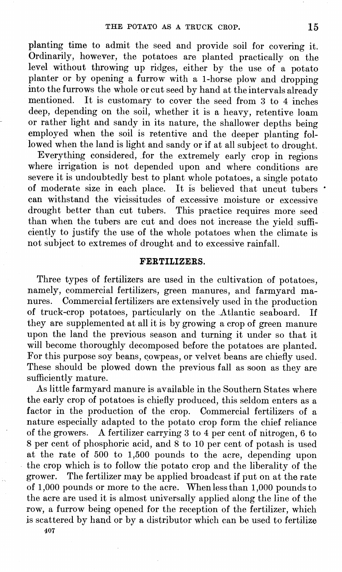planting time to admit the seed and provide soil for covering it. Ordinarily, however, the potatoes are planted practically on the level without throwing up ridges, either by the use of a potato planter or by opening a furrow with a 1-horse plow and dropping into the furrows the whole or cut seed by hand at the intervals already mentioned. It is customary to cover the seed from 3 to 4 inches deep, depending on the soil, whether it is a heavy, retentive loam or rather light and sandy in its nature, the shallower depths being employed when the soil is retentive and the deeper planting followed when the land is light and sandy or if at all subject to drought.

Everything considered, for the extremely early crop in regions where irrigation is not depended upon and where conditions are severe it is undoubtedly best to plant whole potatoes, a single potato of moderate size in each place. It is believed that uncut tubers can withstand the vicissitudes of excessive moisture or excessive drought better than cut tubers. This practice requires more seed than when the tubers are cut and does not increase the yield sufficiently to justify the use of the whole potatoes when the climate is not subject to extremes of drought and to excessive rainfall.

#### **FERTILIZERS.**

Three types of fertilizers are used in the cultivation of potatoes, namely, commercial fertilizers, green manures, and farmyard manures. Commercial fertilizers are extensively used in the production of truck-crop potatoes, particularly on the Atlantic seaboard. If they are supplemented at all it is by growing a crop of green manure upon the land the previous season and turning it under so that it will become thoroughly decomposed before the potatoes are planted. For this purpose soy beans, cowpeas, or velvet beans are chiefly used. These should be plowed down the previous fall as soon as they are sufficiently mature.

As little farmyard manure is available in the Southern States where the early crop of potatoes is chiefly produced, this seldom enters as a factor in the production of the crop. Commercial fertilizers of a nature especially adapted to the potato crop form the chief reliance of the growers. A fertilizer carrying 3 to 4 per cent of nitrogen, 6 to 8 per cent of phosphoric acid, and 8 to 10 per cent of potash is used at the rate of 500 to 1,500 pounds to the acre, depending upon the crop which is to follow the potato crop and the liberality of the grower. The fertilizer may be applied broadcast if put on at the rate of 1,000 pounds or more to the acre. When less than 1,000 pounds to the acre are used it is almost universally applied along the line of the row, a furrow being opened for the reception of the fertilizer, which is scattered by hand or by a distributor which can be used to fertilize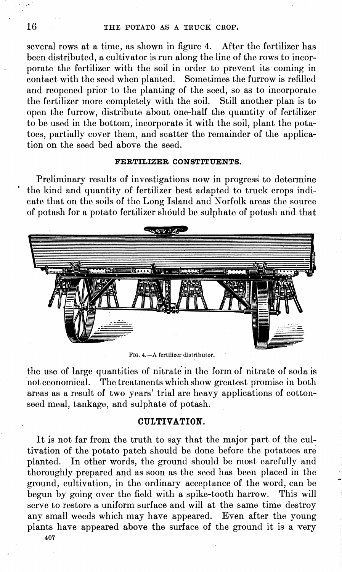several rows at a time, as shown in figure 4. After the fertilizer has been distributed, a cultivator is run along the line of the rows to incorporate the fertilizer with the soil in order to prevent its coming in contact with the seed when planted. Sometimes the furrow is refilled and reopened prior to the planting of the seed, so as to incorporate the fertilizer more completely with the soil. Still another plan is to open the furrow, distribute about one-half the quantity of fertilizer to be used in the bottom, incorporate it with the soil, plant the potatoes, partially cover them, and scatter the remainder of the application on the seed bed above the seed.

### **FERTILIZER CONSTITUENTS.**

Preliminary results of investigations now in progress to determine the kind and quantity of fertilizer best adapted to truck crops indicate that on the soils of the Long Island and Norfolk areas the source of potash for a potato fertilizer should be sulphate of potash and that



FIG. 4.—A fertilizer distributor.

the use of large quantities of nitrate in the form of nitrate of soda is not economical. The treatments which show greatest promise in both areas as a result of two years' trial are heavy applications of cottonseed meal, tankage, and sulphate of potash.

# **CULTIVATION.**

It is not far from the truth to say that the major part of the cultivation of the potato patch should be done before the potatoes are planted. In other words, the ground should be most carefully and thoroughly prepared and as soon as the seed has been placed in the ground, cultivation, in the ordinary acceptance of the word, can be begun by going over the field with a spike-tooth harrow. This will serve to restore a uniform surface and will at the same time destroy any small weeds which may have appeared. Even after the young plants have appeared above the surface of the ground it is a very 407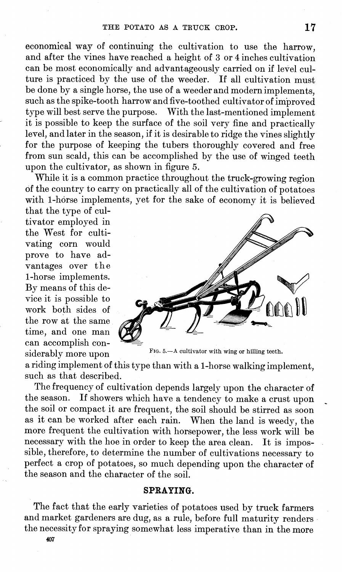economical way of continuing the cultivation to use the harrow, and after the vines have reached a height of 3 or 4 inches cultivation can be most economically and advantageously carried on if level culture is practiced by the use of the weeder. If all cultivation must be done by a single horse, the use of a weeder and modern implements, such as the spike-tooth harrow and five-toothed cultivator of improved type will best serve the purpose. With the last-mentioned implement it is possible to keep the surface of the soil very fine and practically level, and later in the season, if it is desirable to ridge the vines slightly for the purpose of keeping the tubers thoroughly covered and free from sun scald, this can be accomplished by the use of winged teeth upon the cultivator, as shown in figure 5.

While it is a common practice throughout the truck-growing region of the country to carry on practically all of the cultivation of potatoes with 1-horse implements, yet for the sake of economy it is believed that the type of cul-

tivator employed in prove to have advantages over the 1-horse implements. By means of this device it is possible to work both sides of the row at the same *^m[ Jl il* <sup>~</sup> -^ff^P time, and one man can accomplish considerably more upon



.- A cultivator with wing or hilling teeth.

a riding implement of this type than with a 1-horse walking implement, such as that described.

The frequency of cultivation depends largely upon the character of the season. If showers which have a tendency to make a crust upon the soil or compact it are frequent, the soil should be stirred as soon as it can be worked after each rain. When the land is weedy, the more frequent the cultivation with horsepower, the less work will be necessary with the hoe in order to keep the area clean. It is impossible, therefore, to determine the number of cultivations necessary to perfect a crop of potatoes, so much depending upon the character of the season and the character of the soil.

#### SPRAYING.

The fact that the early varieties of potatoes used by truck farmers and market gardeners are dug, as a rule, before full maturity renders the necessity for spraying somewhat less imperative than in the more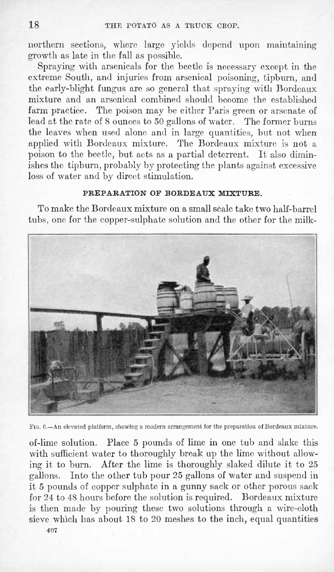northern sections, where large yields depend upon maintaining growth as late in the fall as possible.

Spraying with arsenicals for the beetle is necessary except in the extreme South, and injuries from arsenical poisoning, tipburn, and the early-blight fungus are so general that spraying with Bordeaux mixture and an arsenical combined should become the established farm practice. The poison may be either Paris green or arsenate of lead at the rate of 8 ounces to 50 gallons of water. The former burns the leaves when used alone and in large quantities, but not when applied with Bordeaux mixture. The Bordeaux mixture is not a poison to the beetle, but acts as a partial deterrent. It also diminishes the tipburn, probably by protecting the plants against excessive loss of water and by direct stimulation.

# **PREPARATION OP BORDEAUX MIXTURE.**

To make the Bordeaux mixture on a small scale take two half-barrel tubs, one for the copper-sulphate solution and the other for the milk-



FIG. 6.—An elevated platform, showing a modern arrangement for the preparatiou of Bordeaux mixture.

of-lime solution. Place 5 pounds of lime in one tub and slake this with sufficient water to thoroughly break up the lime without allowing it to burn. After the lime is thoroughly slaked dilute it to 25 gallons. Into the other tub pour 25 gallons of water and suspend in it <sup>5</sup> pounds of copper sulphate in a gunny sack or other porous sack for 24 to 48 hours before the solution is required. Bordeaux mixture is then made by pouring these two solutions through a wire-cloth sieve which has about 18 to 20 meshes to the inch, equal quantities 407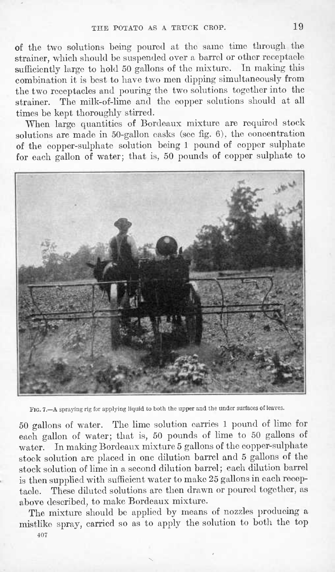of the two solutions being poured at the same time through the strainer, which should be suspended over a barrel or other receptacle sufficiently large to hold 50 gallons of the mixture. In making this combination it is best to have two men dipping simultaneously from the two receptacles and pouring the two solutions together into the strainer. The milk-of-lime and the copper solutions should at all times be kept thoroughly stirred.

When large quantities of Bordeaux mixture are required stock solutions are made in 50-gallon casks (see fig. 6), the concentration of the copper-sulphate solution being <sup>1</sup> pound of copper sulphate for each gallon of water; that is, 50 pounds of copper sulphate to



FIG. 7.—A spraying rig for applying liquid to both the upper and the under surfaces of leaves.

50 gallons of water. The lime solution carries <sup>1</sup> pound of lime for each gallon of water; that is, 50 pounds of lime to 50 gallons of water. In making Bordeaux mixture 5 gallons of the copper-sulphate stock solution are placed in one dilution barrel and 5 gallons of the stock solution of lime in a second dilution barrel; each dilution barrel is then supplied with sufficient water to make 25 gallons in each receptacle. These diluted solutions are then drawn or poured together, as above described, to make Bordeaux mixture.

The mixture should be applied by means of nozzles producing a mistlike spray, carried so as to apply the solution to both the top 407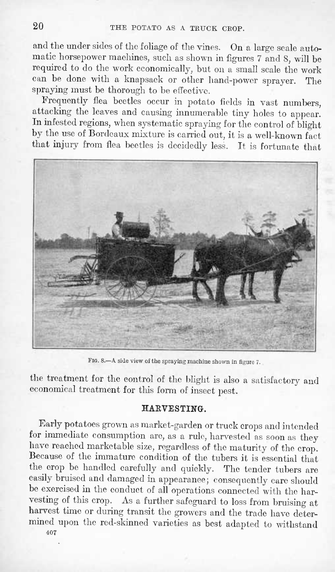and the under sides of the foliage of the vines. On a large scale automatic horsepower machines, such as shown in figures 7 and 8, will be required to do the work economically, but on a small scale the work can be done with a knapsack or other hand-power sprayer. The spraying must be thorough to be effective.

Frequently flea beetles occur in potato fields in vast numbers, attacking the leaves and causing innumerable tiny holes to appear. In infested regions, when systematic spraying for the control of blight by the use of Bordeaux mixture is carried out, it is a well-known fact that injury from flea beetles is decidedly less. It is fortunate that



FIG. 8.—A side view of the spraying machine shown In figure 7.

the treatment for the control of the blight is also a satisfactory and economical treatment for this form of insect pest.

# HARVESTING.

Early potatoes grown as market-garden or truck crops and intended for immediate consumption are, as a rule, harvested as soon as they have reached marketable size, regardless of the maturity of the crop. Because of the immature condition of the tubers it is essential that the crop be handled carefully and quickly. The tender tubers are easily bruised and damaged in appearance; consequently care should be exercised in the conduct of all operations connected with the harvesting of this crop. As a further safeguard to loss from bruising at harvest time or during transit the growers and the trade have determined upon the red-skinned varieties as best adapted to withstand 407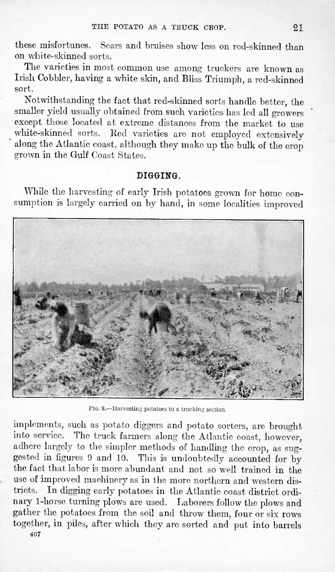these misfortunes. Scars and bruises show less on red-skinned than on white-skinned sorts.

The varieties in most common use among truckers are known as Irish Cobbler, having a white skin, and Bliss Triumph, a red-skinned sort.

Notwithstanding the fact that red-skinned sorts handle better, the smaller yield usually obtained from such varieties has led all growers except those located at extreme distances from the market to use white-skinned sorts. Red varieties are not employed extensively along the Atlantic coast, although they make up the bulk of the crop grown in the Gulf Coast States.

#### DIGGING.

While the harvesting of early Irish potatoes grown for home consumption is largely carried on by hand, in some localities improved



FIG. 9.—Harvesting potatoes in a trucking section.

implements, such as potato diggers and potato sorters, are brought into service. The truck farmers along the Atlantic coast, however, adhere largely to the simpler methods of handling the crop, as suggested in figures 9 and 10. This is undoubtedly accounted for by the fact that labor is more abundant and not so well trained in the use of improved machinery as in the more northern and western districts. In digging early potatoes in the Atlantic coast district ordinary 1-horse turning plows are used. Laborers follow the plows and gather the potatoes from the soil and throw them, four or six rows together, in piles, after which they are sorted and put into barrels 407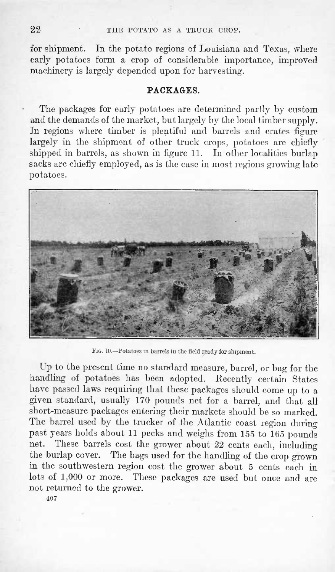for shipment. In the potato regions of Louisiana and Texas, where early potatoes form a crop of considerable importance, improved machinery is largely depended upon for harvesting.

# **PACKAGES.**

The packages for early potatoes are determined partly by custom and the demands of the market, butlargely by the local timber supply. In regions where timber is plentiful and barrels and crates figure largely in the shipment of other truck crops, potatoes are chiefly shipped in barrels, as shown in figure 11. In other localities burlap sacks are chiefly employed, as is the case in most regions growing late potatoes.



FIG. 10.—Potatoes in barrels in the field ready for shipment.

Up to the present time no standard measure, barrel, or bag for the handling of potatoes has been adopted. Recently certain States have passed laws requiring that these packages should come up to a given standard, usually 170 pounds net for a barrel, and that all short-measure packages entering their markets should be so marked. The barrel used by the trucker of the Atlantic coast region during past years holds about 11 pecks and weighs from 155 to 165 pounds net. These barrels cost the grower about 22 cents each, including the burlap cover. The bags used for the handling of the crop grown in the southwestern region cost the grower about 5 cents each in lots of 1,000 or more. These packages are used but once and are not returned to the grower.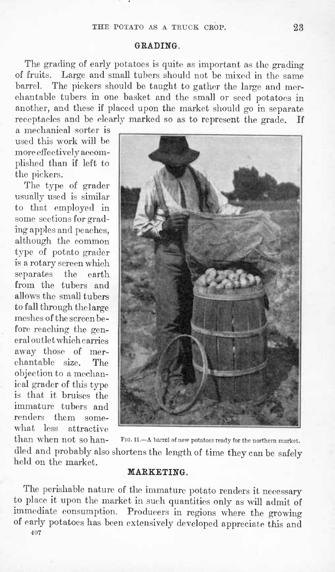#### GRADING.

The grading of early potatoes is quite as important as the grading of fruits. Large and small tubers should not be mixed in the same barrel. The pickers should be taught to gather the large and merchantable tubers in one basket and the small or seed potatoes in another, and these if placed upon the market should go in separate receptacles and be clearly marked so as to represent the grade. If

a mechanical sorter is used this work will be more effectively accomplished than if left to the pickers.

The type of grader usually used is similar to that employed in some sections for grading apples and peaches, although the common type of potato grader is a rotary screen which separates the earth from the tubers and allows the small tubers to fall through the large meshes of the screen before reaching the general outlet which carries away those of merchantable size. The objection to a mechanical grader of this type is that it bruises the immature tubers and renders them somewhat less attractive<br>than when not so han-



FIG. 11.- A barrel of new potatoes ready for the northern market. died and probably also shortens the length of time they can be safely held on the market.

#### **MARKETING.**

The perishable nature of the immature potato renders it necessary to place it upon the market in such quantities only as will admit of immediate consumption. Producers in regions where the growing of early potatoes has been extensively developed appreciate this and 407